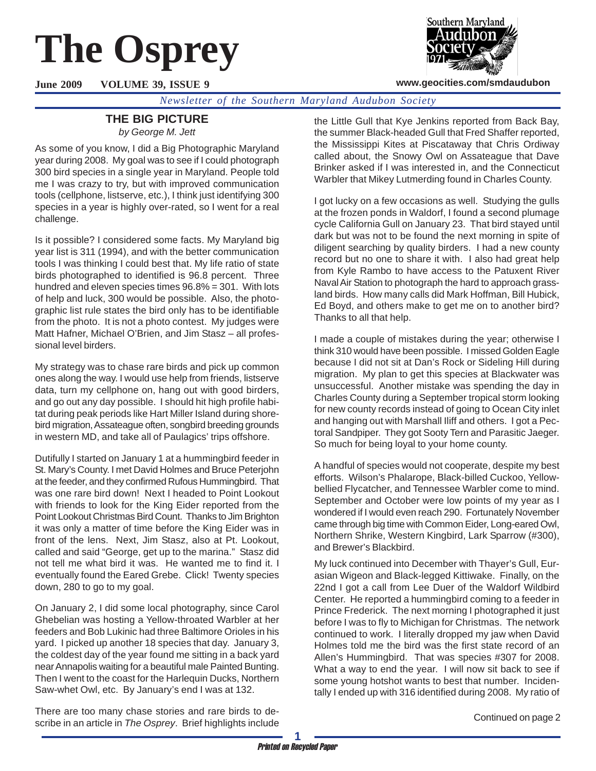# **The Osprey**

**June 2009 VOLUME 39, ISSUE 9**



**www.geocities.com/smdaudubon**

*Newsletter of the Southern Maryland Audubon Society*

## **THE BIG PICTURE**

*by George M. Jett*

As some of you know, I did a Big Photographic Maryland year during 2008. My goal was to see if I could photograph 300 bird species in a single year in Maryland. People told me I was crazy to try, but with improved communication tools (cellphone, listserve, etc.), I think just identifying 300 species in a year is highly over-rated, so I went for a real challenge.

Is it possible? I considered some facts. My Maryland big year list is 311 (1994), and with the better communication tools I was thinking I could best that. My life ratio of state birds photographed to identified is 96.8 percent. Three hundred and eleven species times 96.8% = 301. With lots of help and luck, 300 would be possible. Also, the photographic list rule states the bird only has to be identifiable from the photo. It is not a photo contest. My judges were Matt Hafner, Michael O'Brien, and Jim Stasz – all professional level birders.

My strategy was to chase rare birds and pick up common ones along the way. I would use help from friends, listserve data, turn my cellphone on, hang out with good birders, and go out any day possible. I should hit high profile habitat during peak periods like Hart Miller Island during shorebird migration, Assateague often, songbird breeding grounds in western MD, and take all of Paulagics' trips offshore.

Dutifully I started on January 1 at a hummingbird feeder in St. Mary's County. I met David Holmes and Bruce Peterjohn at the feeder, and they confirmed Rufous Hummingbird. That was one rare bird down! Next I headed to Point Lookout with friends to look for the King Eider reported from the Point Lookout Christmas Bird Count. Thanks to Jim Brighton it was only a matter of time before the King Eider was in front of the lens. Next, Jim Stasz, also at Pt. Lookout, called and said "George, get up to the marina." Stasz did not tell me what bird it was. He wanted me to find it. I eventually found the Eared Grebe. Click! Twenty species down, 280 to go to my goal.

On January 2, I did some local photography, since Carol Ghebelian was hosting a Yellow-throated Warbler at her feeders and Bob Lukinic had three Baltimore Orioles in his yard. I picked up another 18 species that day. January 3, the coldest day of the year found me sitting in a back yard near Annapolis waiting for a beautiful male Painted Bunting. Then I went to the coast for the Harlequin Ducks, Northern Saw-whet Owl, etc. By January's end I was at 132.

There are too many chase stories and rare birds to describe in an article in *The Osprey*. Brief highlights include the Little Gull that Kye Jenkins reported from Back Bay, the summer Black-headed Gull that Fred Shaffer reported, the Mississippi Kites at Piscataway that Chris Ordiway called about, the Snowy Owl on Assateague that Dave Brinker asked if I was interested in, and the Connecticut Warbler that Mikey Lutmerding found in Charles County.

I got lucky on a few occasions as well. Studying the gulls at the frozen ponds in Waldorf, I found a second plumage cycle California Gull on January 23. That bird stayed until dark but was not to be found the next morning in spite of diligent searching by quality birders. I had a new county record but no one to share it with. I also had great help from Kyle Rambo to have access to the Patuxent River Naval Air Station to photograph the hard to approach grassland birds. How many calls did Mark Hoffman, Bill Hubick, Ed Boyd, and others make to get me on to another bird? Thanks to all that help.

I made a couple of mistakes during the year; otherwise I think 310 would have been possible. I missed Golden Eagle because I did not sit at Dan's Rock or Sideling Hill during migration. My plan to get this species at Blackwater was unsuccessful. Another mistake was spending the day in Charles County during a September tropical storm looking for new county records instead of going to Ocean City inlet and hanging out with Marshall Iliff and others. I got a Pectoral Sandpiper. They got Sooty Tern and Parasitic Jaeger. So much for being loyal to your home county.

A handful of species would not cooperate, despite my best efforts. Wilson's Phalarope, Black-billed Cuckoo, Yellowbellied Flycatcher, and Tennessee Warbler come to mind. September and October were low points of my year as I wondered if I would even reach 290. Fortunately November came through big time with Common Eider, Long-eared Owl, Northern Shrike, Western Kingbird, Lark Sparrow (#300), and Brewer's Blackbird.

My luck continued into December with Thayer's Gull, Eurasian Wigeon and Black-legged Kittiwake. Finally, on the 22nd I got a call from Lee Duer of the Waldorf Wildbird Center. He reported a hummingbird coming to a feeder in Prince Frederick. The next morning I photographed it just before I was to fly to Michigan for Christmas. The network continued to work. I literally dropped my jaw when David Holmes told me the bird was the first state record of an Allen's Hummingbird. That was species #307 for 2008. What a way to end the year. I will now sit back to see if some young hotshot wants to best that number. Incidentally I ended up with 316 identified during 2008. My ratio of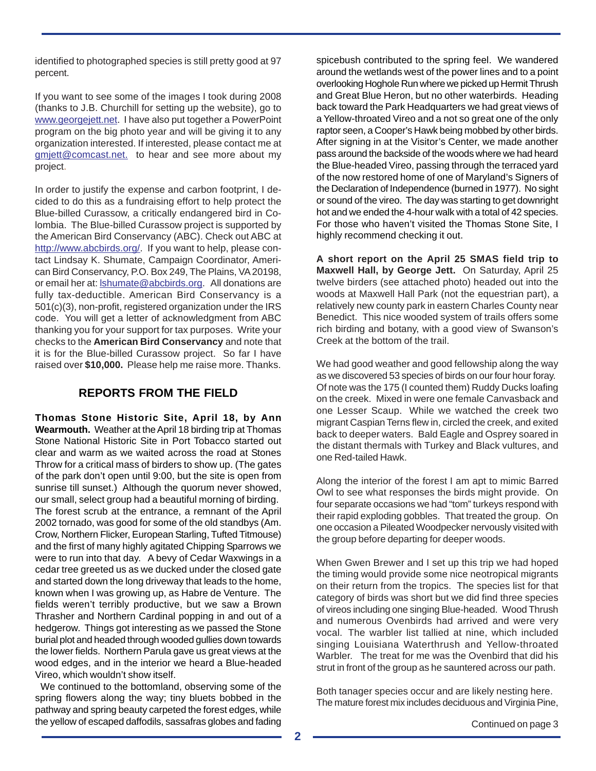identified to photographed species is still pretty good at 97 percent.

If you want to see some of the images I took during 2008 (thanks to J.B. Churchill for setting up the website), go to www.georgejett.net. I have also put together a PowerPoint program on the big photo year and will be giving it to any organization interested. If interested, please contact me at gmjett@comcast.net. to hear and see more about my project.

In order to justify the expense and carbon footprint, I decided to do this as a fundraising effort to help protect the Blue-billed Curassow, a critically endangered bird in Colombia. The Blue-billed Curassow project is supported by the American Bird Conservancy (ABC). Check out ABC at http://www.abcbirds.org/. If you want to help, please contact Lindsay K. Shumate, Campaign Coordinator, American Bird Conservancy, P.O. Box 249, The Plains, VA 20198, or email her at: **Ishumate@abcbirds.org**. All donations are fully tax-deductible. American Bird Conservancy is a 501(c)(3), non-profit, registered organization under the IRS code. You will get a letter of acknowledgment from ABC thanking you for your support for tax purposes. Write your checks to the **American Bird Conservancy** and note that it is for the Blue-billed Curassow project. So far I have raised over **\$10,000.** Please help me raise more. Thanks.

## **REPORTS FROM THE FIELD**

**Thomas Stone Historic Site, April 18, by Ann Wearmouth.** Weather at the April 18 birding trip at Thomas Stone National Historic Site in Port Tobacco started out clear and warm as we waited across the road at Stones Throw for a critical mass of birders to show up. (The gates of the park don't open until 9:00, but the site is open from sunrise till sunset.) Although the quorum never showed, our small, select group had a beautiful morning of birding. The forest scrub at the entrance, a remnant of the April 2002 tornado, was good for some of the old standbys (Am. Crow, Northern Flicker, European Starling, Tufted Titmouse) and the first of many highly agitated Chipping Sparrows we were to run into that day. A bevy of Cedar Waxwings in a cedar tree greeted us as we ducked under the closed gate and started down the long driveway that leads to the home, known when I was growing up, as Habre de Venture. The fields weren't terribly productive, but we saw a Brown Thrasher and Northern Cardinal popping in and out of a hedgerow. Things got interesting as we passed the Stone burial plot and headed through wooded gullies down towards the lower fields. Northern Parula gave us great views at the wood edges, and in the interior we heard a Blue-headed Vireo, which wouldn't show itself.

 We continued to the bottomland, observing some of the spring flowers along the way; tiny bluets bobbed in the pathway and spring beauty carpeted the forest edges, while the yellow of escaped daffodils, sassafras globes and fading discussed and the set of the continued on page 3

spicebush contributed to the spring feel. We wandered around the wetlands west of the power lines and to a point overlooking Hoghole Run where we picked up Hermit Thrush and Great Blue Heron, but no other waterbirds. Heading back toward the Park Headquarters we had great views of a Yellow-throated Vireo and a not so great one of the only raptor seen, a Cooper's Hawk being mobbed by other birds. After signing in at the Visitor's Center, we made another pass around the backside of the woods where we had heard the Blue-headed Vireo, passing through the terraced yard of the now restored home of one of Maryland's Signers of the Declaration of Independence (burned in 1977). No sight or sound of the vireo. The day was starting to get downright hot and we ended the 4-hour walk with a total of 42 species. For those who haven't visited the Thomas Stone Site, I highly recommend checking it out.

**A short report on the April 25 SMAS field trip to Maxwell Hall, by George Jett.** On Saturday, April 25 twelve birders (see attached photo) headed out into the woods at Maxwell Hall Park (not the equestrian part), a relatively new county park in eastern Charles County near Benedict. This nice wooded system of trails offers some rich birding and botany, with a good view of Swanson's Creek at the bottom of the trail.

We had good weather and good fellowship along the way as we discovered 53 species of birds on our four hour foray. Of note was the 175 (I counted them) Ruddy Ducks loafing on the creek. Mixed in were one female Canvasback and one Lesser Scaup. While we watched the creek two migrant Caspian Terns flew in, circled the creek, and exited back to deeper waters. Bald Eagle and Osprey soared in the distant thermals with Turkey and Black vultures, and one Red-tailed Hawk.

Along the interior of the forest I am apt to mimic Barred Owl to see what responses the birds might provide. On four separate occasions we had "tom" turkeys respond with their rapid exploding gobbles. That treated the group. On one occasion a Pileated Woodpecker nervously visited with the group before departing for deeper woods.

When Gwen Brewer and I set up this trip we had hoped the timing would provide some nice neotropical migrants on their return from the tropics. The species list for that category of birds was short but we did find three species of vireos including one singing Blue-headed. Wood Thrush and numerous Ovenbirds had arrived and were very vocal. The warbler list tallied at nine, which included singing Louisiana Waterthrush and Yellow-throated Warbler. The treat for me was the Ovenbird that did his strut in front of the group as he sauntered across our path.

Both tanager species occur and are likely nesting here. The mature forest mix includes deciduous and Virginia Pine,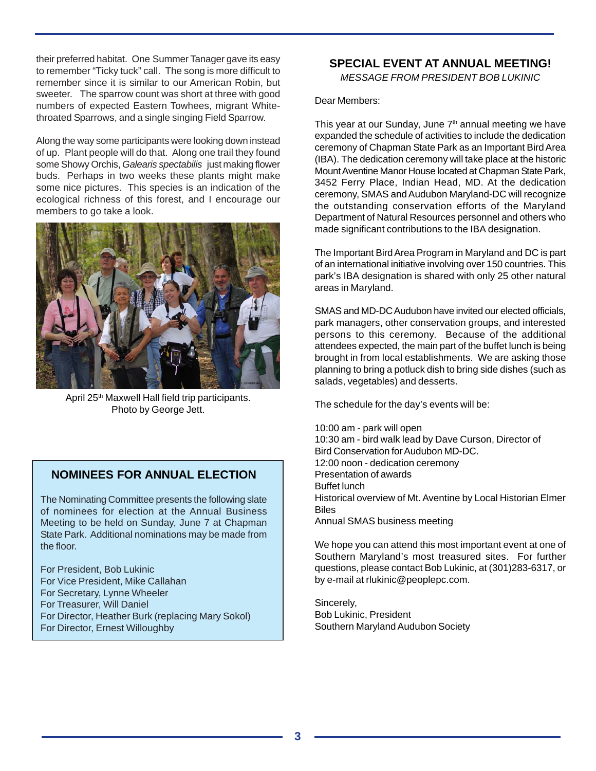their preferred habitat. One Summer Tanager gave its easy to remember "Ticky tuck" call. The song is more difficult to remember since it is similar to our American Robin, but sweeter. The sparrow count was short at three with good numbers of expected Eastern Towhees, migrant Whitethroated Sparrows, and a single singing Field Sparrow.

Along the way some participants were looking down instead of up. Plant people will do that. Along one trail they found some Showy Orchis, *Galearis spectabilis* just making flower buds. Perhaps in two weeks these plants might make some nice pictures. This species is an indication of the ecological richness of this forest, and I encourage our members to go take a look.



April 25<sup>th</sup> Maxwell Hall field trip participants. Photo by George Jett.

### **NOMINEES FOR ANNUAL ELECTION**

The Nominating Committee presents the following slate of nominees for election at the Annual Business Meeting to be held on Sunday, June 7 at Chapman State Park. Additional nominations may be made from the floor.

For President, Bob Lukinic For Vice President, Mike Callahan For Secretary, Lynne Wheeler For Treasurer, Will Daniel For Director, Heather Burk (replacing Mary Sokol) For Director, Ernest Willoughby

#### **SPECIAL EVENT AT ANNUAL MEETING!**

*MESSAGE FROM PRESIDENT BOB LUKINIC*

Dear Members:

This year at our Sunday, June  $7<sup>th</sup>$  annual meeting we have expanded the schedule of activities to include the dedication ceremony of Chapman State Park as an Important Bird Area (IBA). The dedication ceremony will take place at the historic Mount Aventine Manor House located at Chapman State Park, 3452 Ferry Place, Indian Head, MD. At the dedication ceremony, SMAS and Audubon Maryland-DC will recognize the outstanding conservation efforts of the Maryland Department of Natural Resources personnel and others who made significant contributions to the IBA designation.

The Important Bird Area Program in Maryland and DC is part of an international initiative involving over 150 countries. This park's IBA designation is shared with only 25 other natural areas in Maryland.

SMAS and MD-DC Audubon have invited our elected officials, park managers, other conservation groups, and interested persons to this ceremony. Because of the additional attendees expected, the main part of the buffet lunch is being brought in from local establishments. We are asking those planning to bring a potluck dish to bring side dishes (such as salads, vegetables) and desserts.

The schedule for the day's events will be:

10:00 am - park will open 10:30 am - bird walk lead by Dave Curson, Director of Bird Conservation for Audubon MD-DC. 12:00 noon - dedication ceremony Presentation of awards Buffet lunch Historical overview of Mt. Aventine by Local Historian Elmer Biles Annual SMAS business meeting

We hope you can attend this most important event at one of Southern Maryland's most treasured sites. For further questions, please contact Bob Lukinic, at (301)283-6317, or by e-mail at rlukinic@peoplepc.com.

Sincerely, Bob Lukinic, President Southern Maryland Audubon Society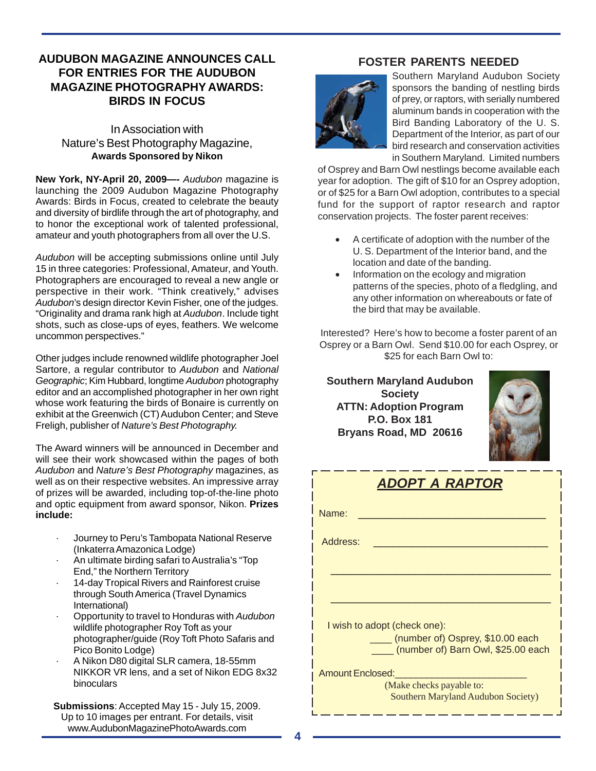## **AUDUBON MAGAZINE ANNOUNCES CALL FOR ENTRIES FOR THE AUDUBON MAGAZINE PHOTOGRAPHY AWARDS: BIRDS IN FOCUS**

#### In Association with Nature's Best Photography Magazine, **Awards Sponsored by Nikon**

**New York, NY-April 20, 2009—-** *Audubon* magazine is launching the 2009 Audubon Magazine Photography Awards: Birds in Focus, created to celebrate the beauty and diversity of birdlife through the art of photography, and to honor the exceptional work of talented professional, amateur and youth photographers from all over the U.S.

*Audubon* will be accepting submissions online until July 15 in three categories: Professional, Amateur, and Youth. Photographers are encouraged to reveal a new angle or perspective in their work. "Think creatively," advises *Audubon*'s design director Kevin Fisher, one of the judges. "Originality and drama rank high at *Audubon*. Include tight shots, such as close-ups of eyes, feathers. We welcome uncommon perspectives."

Other judges include renowned wildlife photographer Joel Sartore, a regular contributor to *Audubon* and *National Geographic*; Kim Hubbard, longtime *Audubon* photography editor and an accomplished photographer in her own right whose work featuring the birds of Bonaire is currently on exhibit at the Greenwich (CT) Audubon Center; and Steve Freligh, publisher of *Nature's Best Photography.*

The Award winners will be announced in December and will see their work showcased within the pages of both *Audubon* and *Nature's Best Photography* magazines, as well as on their respective websites. An impressive array of prizes will be awarded, including top-of-the-line photo and optic equipment from award sponsor, Nikon. **Prizes include:**

- · Journey to Peru's Tambopata National Reserve (Inkaterra Amazonica Lodge)
- · An ultimate birding safari to Australia's "Top End," the Northern Territory
- · 14-day Tropical Rivers and Rainforest cruise through South America (Travel Dynamics International)
- · Opportunity to travel to Honduras with *Audubon* wildlife photographer Roy Toft as your photographer/guide (Roy Toft Photo Safaris and Pico Bonito Lodge)
- · A Nikon D80 digital SLR camera, 18-55mm NIKKOR VR lens, and a set of Nikon EDG 8x32 binoculars

**Submissions**: Accepted May 15 - July 15, 2009. Up to 10 images per entrant. For details, visit www.AudubonMagazinePhotoAwards.com

## **FOSTER PARENTS NEEDED**



Southern Maryland Audubon Society sponsors the banding of nestling birds of prey, or raptors, with serially numbered aluminum bands in cooperation with the Bird Banding Laboratory of the U. S. Department of the Interior, as part of our bird research and conservation activities in Southern Maryland. Limited numbers

of Osprey and Barn Owl nestlings become available each year for adoption. The gift of \$10 for an Osprey adoption, or of \$25 for a Barn Owl adoption, contributes to a special fund for the support of raptor research and raptor conservation projects. The foster parent receives:

- A certificate of adoption with the number of the U. S. Department of the Interior band, and the location and date of the banding.
- Information on the ecology and migration patterns of the species, photo of a fledgling, and any other information on whereabouts or fate of the bird that may be available.

Interested? Here's how to become a foster parent of an Osprey or a Barn Owl. Send \$10.00 for each Osprey, or \$25 for each Barn Owl to:

**Southern Maryland Audubon Society ATTN: Adoption Program P.O. Box 181 Bryans Road, MD 20616**



| ADOPT A RAPTOR                                                              |  |  |
|-----------------------------------------------------------------------------|--|--|
| Name:                                                                       |  |  |
| Address:                                                                    |  |  |
|                                                                             |  |  |
|                                                                             |  |  |
| I wish to adopt (check one):                                                |  |  |
| ____ (number of) Osprey, \$10.00 each<br>(number of) Barn Owl, \$25.00 each |  |  |
| <b>Amount Enclosed:</b>                                                     |  |  |
| (Make checks payable to:<br>Southern Maryland Audubon Society)              |  |  |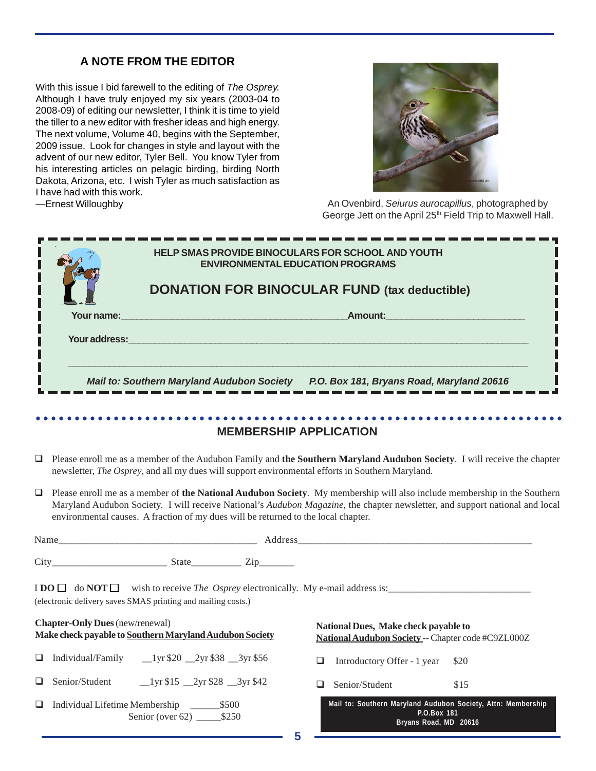## **A NOTE FROM THE EDITOR**

With this issue I bid farewell to the editing of *The Osprey.* Although I have truly enjoyed my six years (2003-04 to 2008-09) of editing our newsletter, I think it is time to yield the tiller to a new editor with fresher ideas and high energy. The next volume, Volume 40, begins with the September, 2009 issue. Look for changes in style and layout with the advent of our new editor, Tyler Bell. You know Tyler from his interesting articles on pelagic birding, birding North Dakota, Arizona, etc. I wish Tyler as much satisfaction as I have had with this work. —Ernest Willoughby



An Ovenbird, *Seiurus aurocapillus*, photographed by George Jett on the April 25<sup>th</sup> Field Trip to Maxwell Hall.

| HELP SMAS PROVIDE BINOCULARS FOR SCHOOL AND YOUTH<br><b>ENVIRONMENTAL EDUCATION PROGRAMS</b><br><b>DONATION FOR BINOCULAR FUND (tax deductible)</b>                                                                                                                                                                                                                                                                                                                       |                                                                                                                                                                                                                                                          |
|---------------------------------------------------------------------------------------------------------------------------------------------------------------------------------------------------------------------------------------------------------------------------------------------------------------------------------------------------------------------------------------------------------------------------------------------------------------------------|----------------------------------------------------------------------------------------------------------------------------------------------------------------------------------------------------------------------------------------------------------|
| <b>Your name:</b> And the contract of the contract of the contract of the contract of the contract of the contract of the contract of the contract of the contract of the contract of the contract of the contract of the contract<br><b>The Sour address:</b> The Contract of the Contract of the Contract of the Contract of the Contract of the Contract of the Contract of the Contract of the Contract of the Contract of the Contract of the Contract of the Contra | <b>Amount:</b> Amount: Amount: Amount: Amount: Amount: Amount: Amount: Amount: Amount: Amount: Amount: Amount: Amoun                                                                                                                                     |
|                                                                                                                                                                                                                                                                                                                                                                                                                                                                           | Mail to: Southern Maryland Audubon Society P.O. Box 181, Bryans Road, Maryland 20616                                                                                                                                                                     |
|                                                                                                                                                                                                                                                                                                                                                                                                                                                                           | -------------------                                                                                                                                                                                                                                      |
|                                                                                                                                                                                                                                                                                                                                                                                                                                                                           | <b>MEMBERSHIP APPLICATION</b>                                                                                                                                                                                                                            |
| ❏<br>newsletter, <i>The Osprey</i> , and all my dues will support environmental efforts in Southern Maryland.                                                                                                                                                                                                                                                                                                                                                             | Please enroll me as a member of the Audubon Family and the Southern Maryland Audubon Society. I will receive the chapter                                                                                                                                 |
| $\Box$<br>environmental causes. A fraction of my dues will be returned to the local chapter.                                                                                                                                                                                                                                                                                                                                                                              | Please enroll me as a member of the National Audubon Society. My membership will also include membership in the Southern<br>Maryland Audubon Society. I will receive National's Audubon Magazine, the chapter newsletter, and support national and local |
|                                                                                                                                                                                                                                                                                                                                                                                                                                                                           |                                                                                                                                                                                                                                                          |
|                                                                                                                                                                                                                                                                                                                                                                                                                                                                           |                                                                                                                                                                                                                                                          |
| $\text{I} \text{DO} \square$ do $\text{NOT} \square$ wish to receive <i>The Osprey</i> electronically. My e-mail address is:<br>(electronic delivery saves SMAS printing and mailing costs.)                                                                                                                                                                                                                                                                              |                                                                                                                                                                                                                                                          |
| <b>Chapter-Only Dues</b> (new/renewal)<br>Make check payable to Southern Maryland Audubon Society                                                                                                                                                                                                                                                                                                                                                                         | National Dues, Make check payable to<br>National Audubon Society -- Chapter code #C9ZL000Z                                                                                                                                                               |
| $\Box$                                                                                                                                                                                                                                                                                                                                                                                                                                                                    | ❏<br>Introductory Offer - 1 year<br>\$20                                                                                                                                                                                                                 |
| ❏                                                                                                                                                                                                                                                                                                                                                                                                                                                                         | Senior/Student<br>\$15<br>Q                                                                                                                                                                                                                              |
| Q.<br>Individual Lifetime Membership<br>$-$ \$500                                                                                                                                                                                                                                                                                                                                                                                                                         | Mail to: Southern Maryland Audubon Society, Attn: Membership<br>P.O.Box 181<br>Bryans Road, MD 20616                                                                                                                                                     |